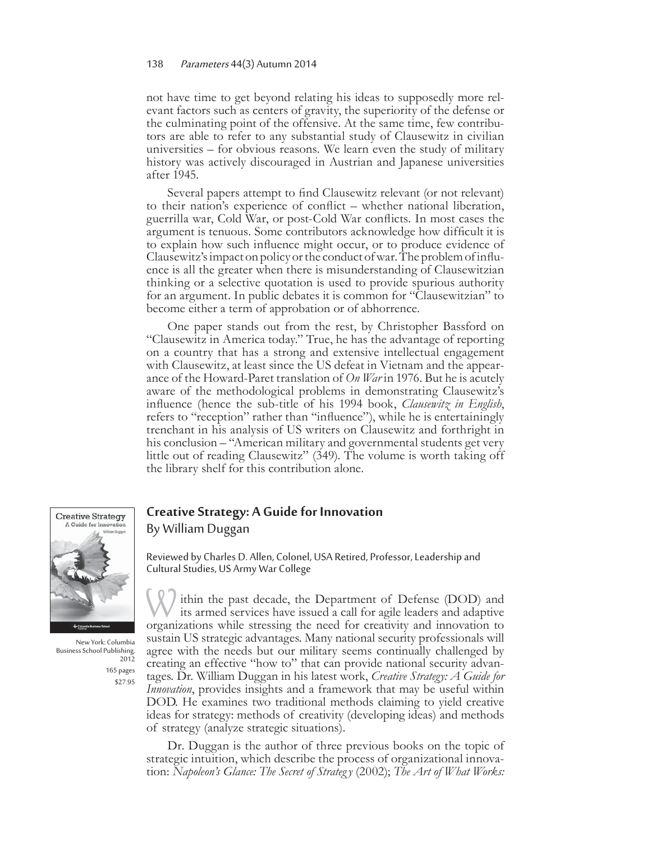## 138 Parameters 44(3) Autumn 2014

not have time to get beyond relating his ideas to supposedly more relevant factors such as centers of gravity, the superiority of the defense or the culminating point of the offensive. At the same time, few contributors are able to refer to any substantial study of Clausewitz in civilian universities – for obvious reasons. We learn even the study of military history was actively discouraged in Austrian and Japanese universities after 1945.

Several papers attempt to find Clausewitz relevant (or not relevant) to their nation's experience of conflict – whether national liberation, guerrilla war, Cold War, or post-Cold War conflicts. In most cases the argument is tenuous. Some contributors acknowledge how difficult it is to explain how such influence might occur, or to produce evidence of Clausewitz's impact on policy or the conduct of war. The problem of influence is all the greater when there is misunderstanding of Clausewitzian thinking or a selective quotation is used to provide spurious authority for an argument. In public debates it is common for "Clausewitzian" to become either a term of approbation or of abhorrence.

One paper stands out from the rest, by Christopher Bassford on "Clausewitz in America today." True, he has the advantage of reporting on a country that has a strong and extensive intellectual engagement with Clausewitz, at least since the US defeat in Vietnam and the appearance of the Howard-Paret translation of *On War* in 1976. But he is acutely aware of the methodological problems in demonstrating Clausewitz's influence (hence the sub-title of his 1994 book, *Clausewitz in English*, refers to "reception" rather than "influence"), while he is entertainingly trenchant in his analysis of US writers on Clausewitz and forthright in his conclusion – "American military and governmental students get very little out of reading Clausewitz" (349). The volume is worth taking off the library shelf for this contribution alone.



New York: Columbia Business School Publishing, 165 pages \$27.95

## **Creative Strategy: A Guide for Innovation** By William Duggan

Reviewed by Charles D. Allen, Colonel, USA Retired, Professor, Leadership and Cultural Studies, US Army War College

W ithin the past decade, the Department of Defense (DOD) and its armed services have issued a call for agile leaders and adaptive organizations while stressing the need for creativity and innovation to sustain US strategic advantages. Many national security professionals will agree with the needs but our military seems continually challenged by creating an effective "how to" that can provide national security advantages. Dr. William Duggan in his latest work, *Creative Strategy: A Guide for Innovation*, provides insights and a framework that may be useful within DOD. He examines two traditional methods claiming to yield creative ideas for strategy: methods of creativity (developing ideas) and methods of strategy (analyze strategic situations).

Dr. Duggan is the author of three previous books on the topic of strategic intuition, which describe the process of organizational innovation: *Napoleon's Glance: The Secret of Strateg y* (2002); *The Art of What Works:*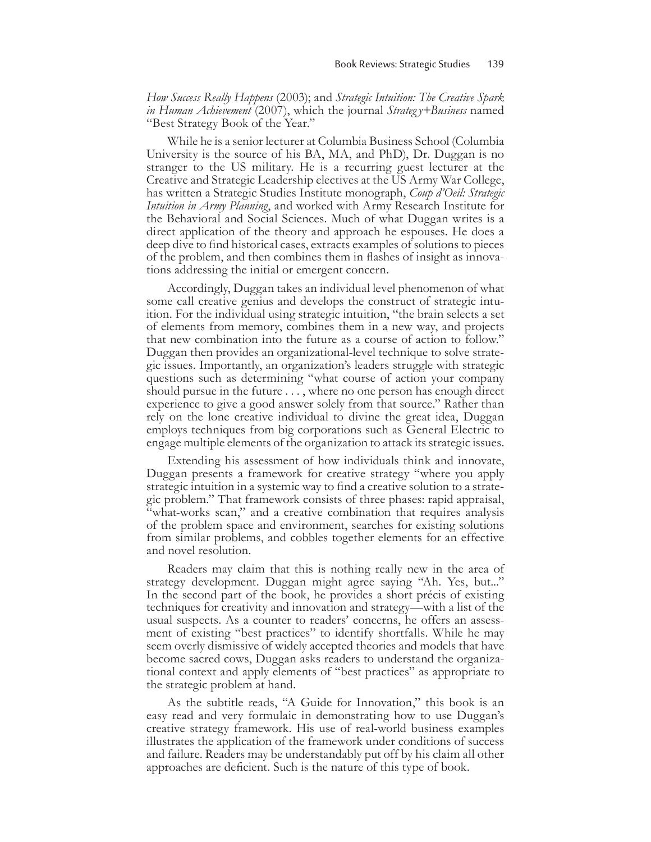*How Success Really Happens* (2003); and *Strategic Intuition: The Creative Spark in Human Achievement* (2007), which the journal *Strateg y+Business* named "Best Strategy Book of the Year."

While he is a senior lecturer at Columbia Business School (Columbia University is the source of his BA, MA, and PhD), Dr. Duggan is no stranger to the US military. He is a recurring guest lecturer at the Creative and Strategic Leadership electives at the US Army War College, has written a Strategic Studies Institute monograph, *Coup d'Oeil: Strategic Intuition in Army Planning*, and worked with Army Research Institute for the Behavioral and Social Sciences. Much of what Duggan writes is a direct application of the theory and approach he espouses. He does a deep dive to find historical cases, extracts examples of solutions to pieces of the problem, and then combines them in flashes of insight as innovations addressing the initial or emergent concern.

Accordingly, Duggan takes an individual level phenomenon of what some call creative genius and develops the construct of strategic intuition. For the individual using strategic intuition, "the brain selects a set of elements from memory, combines them in a new way, and projects that new combination into the future as a course of action to follow." Duggan then provides an organizational-level technique to solve strategic issues. Importantly, an organization's leaders struggle with strategic questions such as determining "what course of action your company should pursue in the future . . . , where no one person has enough direct experience to give a good answer solely from that source." Rather than rely on the lone creative individual to divine the great idea, Duggan employs techniques from big corporations such as General Electric to engage multiple elements of the organization to attack its strategic issues.

Extending his assessment of how individuals think and innovate, Duggan presents a framework for creative strategy "where you apply strategic intuition in a systemic way to find a creative solution to a strategic problem." That framework consists of three phases: rapid appraisal, "what-works scan," and a creative combination that requires analysis of the problem space and environment, searches for existing solutions from similar problems, and cobbles together elements for an effective and novel resolution.

Readers may claim that this is nothing really new in the area of strategy development. Duggan might agree saying "Ah. Yes, but..." In the second part of the book, he provides a short précis of existing techniques for creativity and innovation and strategy—with a list of the usual suspects. As a counter to readers' concerns, he offers an assessment of existing "best practices" to identify shortfalls. While he may seem overly dismissive of widely accepted theories and models that have become sacred cows, Duggan asks readers to understand the organizational context and apply elements of "best practices" as appropriate to the strategic problem at hand.

As the subtitle reads, "A Guide for Innovation," this book is an easy read and very formulaic in demonstrating how to use Duggan's creative strategy framework. His use of real-world business examples illustrates the application of the framework under conditions of success and failure. Readers may be understandably put off by his claim all other approaches are deficient. Such is the nature of this type of book.